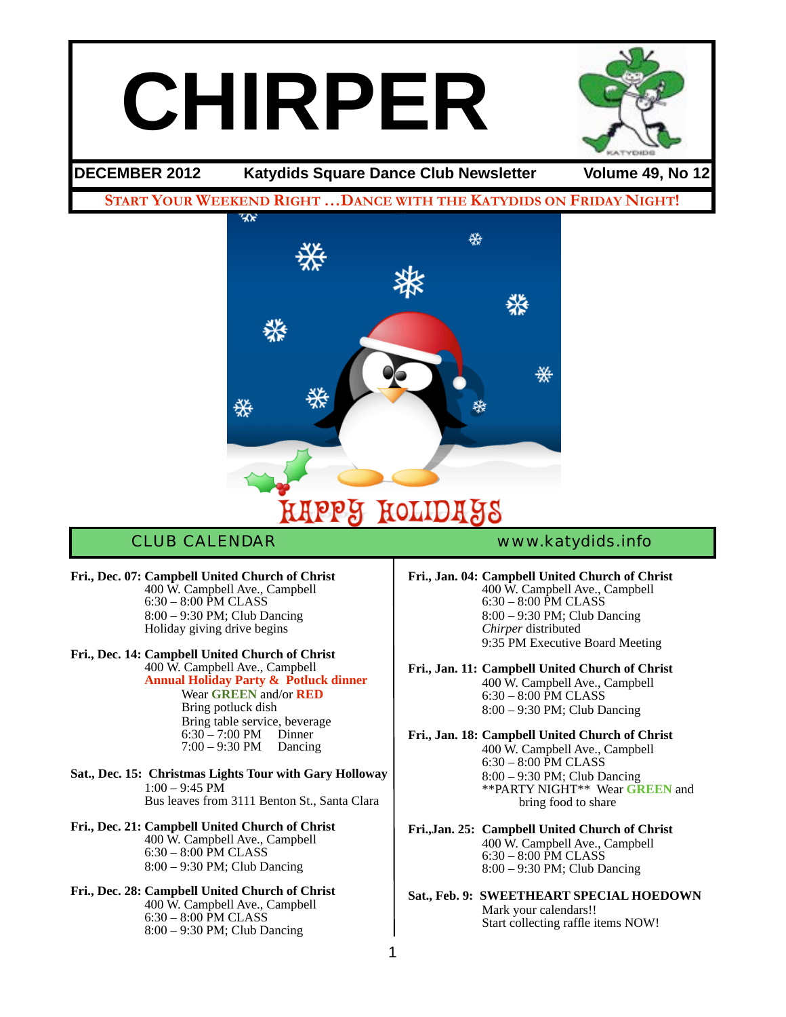# **CHIRPER**



**DECEMBER 2012 Katydids Square Dance Club Newsletter Volume 49, No 12**

**START YOUR WEEKEND RIGHT …DANCE WITH THE KATYDIDS ON FRIDAY NIGHT!**



**Fri., Dec. 07: Campbell United Church of Christ** ! ! 400 W. Campbell Ave., Campbell  $6:30 - 8:00$  PM CLASS 8:00 – 9:30 PM; Club Dancing Holiday giving drive begins

**Fri., Dec. 14: Campbell United Church of Christ** ! ! 400 W. Campbell Ave., Campbell ! ! **Annual Holiday Party & Potluck dinner**

> **Wear GREEN** and/or **RED** Bring potluck dish Bring table service, beverage<br>6:30 − 7:00 PM Dinner<br>7:00 − 9:30 PM Dancing

**Sat., Dec. 15: Christmas Lights Tour with Gary Holloway**  $1:00 - 9:45$  PM Bus leaves from 3111 Benton St., Santa Clara

#### **Fri., Dec. 21: Campbell United Church of Christ** ! ! 400 W. Campbell Ave., Campbell

6:30 – 8:00 PM CLASS 8:00 – 9:30 PM; Club Dancing

## **Fri., Dec. 28: Campbell United Church of Christ**

! ! 400 W. Campbell Ave., Campbell ! ! 6:30 – 8:00 PM CLASS ! ! 8:00 – 9:30 PM; Club Dancing

CLUB CALENDAR [www.katydids.info](http://www.katydids.info)

**Fri., Jan. 04: Campbell United Church of Christ** ! ! 400 W. Campbell Ave., Campbell ! ! 6:30 – 8:00 PM CLASS 8:00 – 9:30 PM; Club Dancing Chirper distributed 9:35 PM Executive Board Meeting

**Fri., Jan. 11: Campbell United Church of Christ** ! ! 400 W. Campbell Ave., Campbell 6:30 – 8:00 PM CLASS 8:00 – 9:30 PM; Club Dancing

**Fri., Jan. 18: Campbell United Church of Christ** ! ! 400 W. Campbell Ave., Campbell 6:30 – 8:00 PM CLASS 8:00 – 9:30 PM; Club Dancing ! ! \*\*PARTY NIGHT\*\* Wear **GREEN** and bring food to share

**Fri.,Jan. 25: Campbell United Church of Christ** ! ! 400 W. Campbell Ave., Campbell  $6:30 - 8:00$  PM CLASS 8:00 – 9:30 PM; Club Dancing

**Sat., Feb. 9: SWEETHEART SPECIAL HOEDOWN** Mark your calendars!! Start collecting raffle items NOW!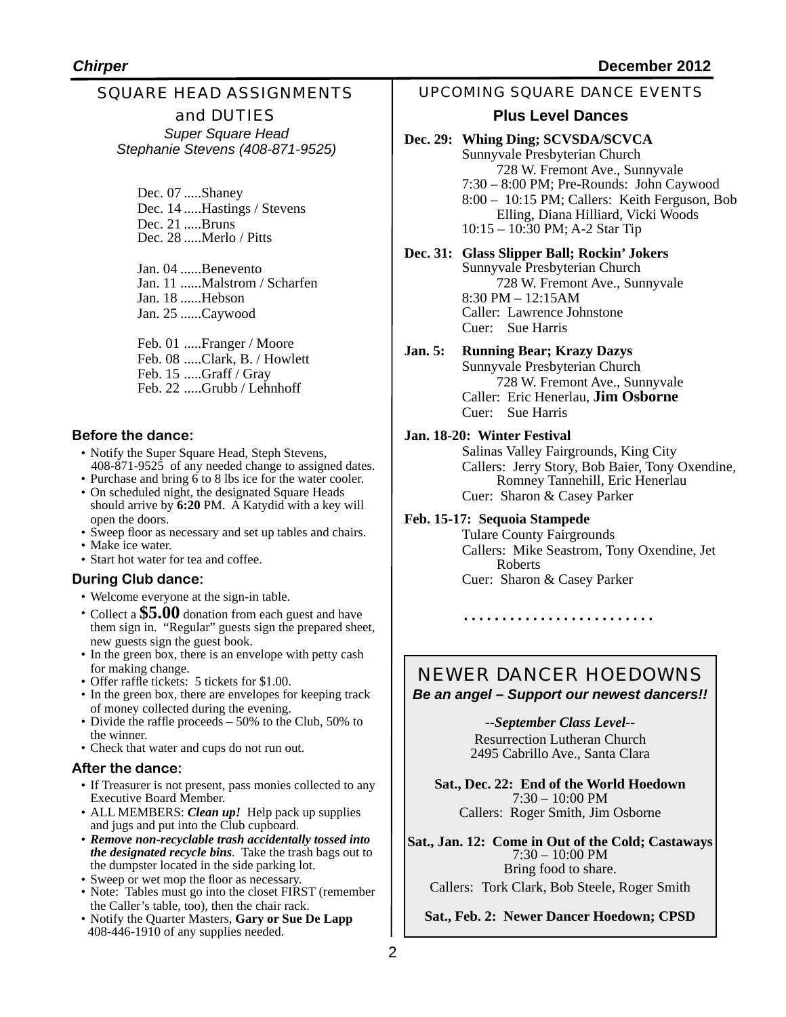## SQUARE HEAD ASSIGNMENTS and DUTIES *Super Square Head*

*Stephanie Stevens (408-871-9525)*

Dec. 07 .....Shaney Dec. 14 .....Hastings / Stevens Dec. 21 .....Bruns Dec. 28 .....Merlo / Pitts

Jan. 04 ......Benevento Jan. 11 ......Malstrom / Scharfen Jan. 18 ......Hebson Jan. 25 ......Caywood

Feb. 01 .....Franger / Moore Feb. 08 .....Clark, B. / Howlett Feb. 15 .....Graff / Gray Feb. 22 .....Grubb / Lehnhoff

#### **Before the dance:**

- Notify the Super Square Head, Steph Stevens, 408-871-9525 of any needed change to assigned dates.
- Purchase and bring 6 to 8 lbs ice for the water cooler.
- On scheduled night, the designated Square Heads should arrive by **6:20** PM. A Katydid with a key will open the doors.
- Sweep floor as necessary and set up tables and chairs.
- Make ice water.
- Start hot water for tea and coffee.

#### **During Club dance:**

- Welcome everyone at the sign-in table.
- Collect a **\$5.00** donation from each guest and have them sign in. "Regular" guests sign the prepared sheet, new guests sign the guest book.
- In the green box, there is an envelope with petty cash for making change.
- Offer raffle tickets: 5 tickets for \$1.00.
- In the green box, there are envelopes for keeping track of money collected during the evening.
- Divide the raffle proceeds 50% to the Club, 50% to the winner.
- Check that water and cups do not run out.

#### **After the dance:**

- If Treasurer is not present, pass monies collected to any Executive Board Member.
- ALL MEMBERS: *Clean up!* Help pack up supplies and jugs and put into the Club cupboard.
- *Remove non-recyclable trash accidentally tossed into the designated recycle bins*. Take the trash bags out to the dumpster located in the side parking lot.
- Sweep or wet mop the floor as necessary.
- Note: Tables must go into the closet FIRST (remember the Caller's table, too), then the chair rack.
- Notify the Quarter Masters, **Gary or Sue De Lapp**  408-446-1910 of any supplies needed.

#### UPCOMING SQUARE DANCE EVENTS

#### **Plus Level Dances**

**Dec. 29: Whing Ding; SCVSDA/SCVCA** Sunnyvale Presbyterian Church 728 W. Fremont Ave., Sunnyvale 7:30 – 8:00 PM; Pre-Rounds: John Caywood 8:00 – 10:15 PM; Callers: Keith Ferguson, Bob Elling, Diana Hilliard, Vicki Woods 10:15 – 10:30 PM; A-2 Star Tip

**Dec. 31: Glass Slipper Ball; Rockin' Jokers** Sunnyvale Presbyterian Church 728 W. Fremont Ave., Sunnyvale 8:30 PM – 12:15AM Caller: Lawrence Johnstone Cuer: Sue Harris

#### **Jan. 5: Running Bear; Krazy Dazys**

Sunnyvale Presbyterian Church 728 W. Fremont Ave., Sunnyvale Caller: Eric Henerlau, **Jim Osborne** Cuer: Sue Harris

#### **Jan. 18-20: Winter Festival**

Salinas Valley Fairgrounds, King City Callers: Jerry Story, Bob Baier, Tony Oxendine, Romney Tannehill, Eric Henerlau Cuer: Sharon & Casey Parker

#### **Feb. 15-17: Sequoia Stampede**

Tulare County Fairgrounds Callers: Mike Seastrom, Tony Oxendine, Jet Roberts Cuer: Sharon & Casey Parker

#### NEWER DANCER HOEDOWNS *Be an angel – Support our newest dancers!!*

 *--September Class Level-***-** Resurrection Lutheran Church 2495 Cabrillo Ave., Santa Clara

**Sat., Dec. 22: End of the World Hoedown** 7:30 – 10:00 PM Callers: Roger Smith, Jim Osborne

**Sat., Jan. 12: Come in Out of the Cold; Castaways** 7:30 – 10:00 PM Bring food to share. Callers: Tork Clark, Bob Steele, Roger Smith

**Sat., Feb. 2: Newer Dancer Hoedown; CPSD**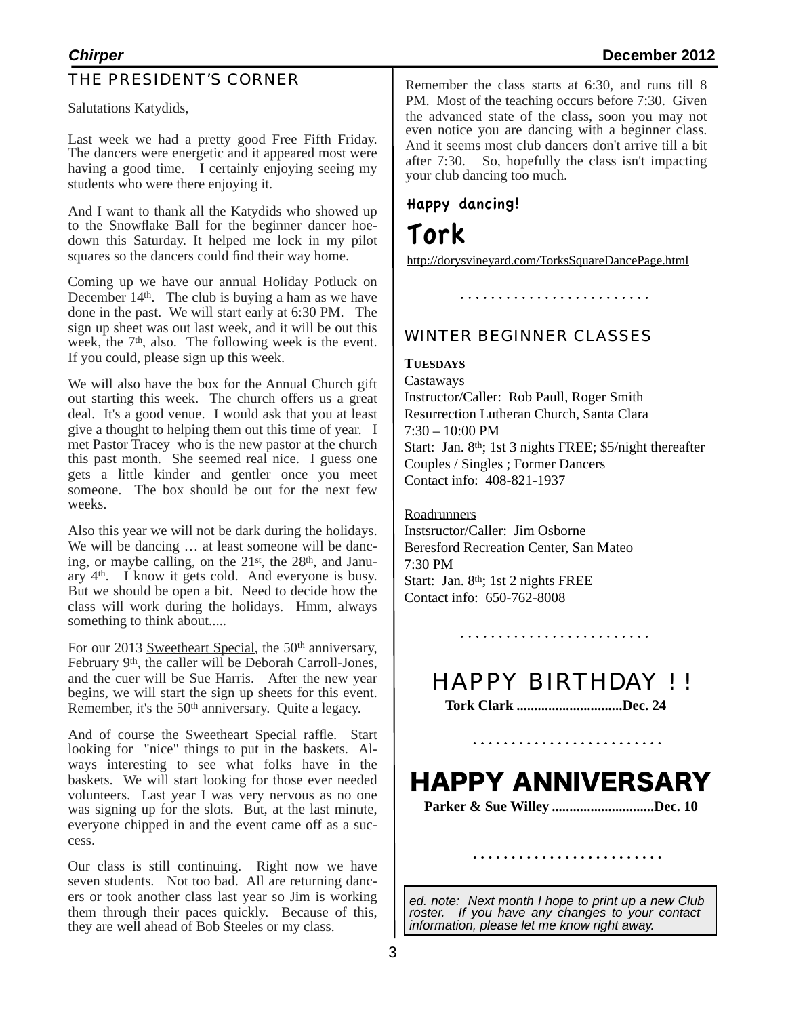#### THE PRESIDENT'S CORNER

Salutations Katydids,

Last week we had a pretty good Free Fifth Friday. The dancers were energetic and it appeared most were having a good time. I certainly enjoying seeing my students who were there enjoying it.

And I want to thank all the Katydids who showed up to the Snowflake Ball for the beginner dancer hoedown this Saturday. It helped me lock in my pilot squares so the dancers could find their way home.

Coming up we have our annual Holiday Potluck on December 14<sup>th</sup>. The club is buying a ham as we have done in the past. We will start early at 6:30 PM. The sign up sheet was out last week, and it will be out this week, the  $7<sup>th</sup>$ , also. The following week is the event. If you could, please sign up this week.

We will also have the box for the Annual Church gift out starting this week. The church offers us a great deal. It's a good venue. I would ask that you at least give a thought to helping them out this time of year. I met Pastor Tracey who is the new pastor at the church this past month. She seemed real nice. I guess one gets a little kinder and gentler once you meet someone. The box should be out for the next few weeks.

Also this year we will not be dark during the holidays. We will be dancing  $\ldots$  at least someone will be dancing, or maybe calling, on the 21<sup>st</sup>, the 28<sup>th</sup>, and January  $4<sup>th</sup>$ . I know it gets cold. And everyone is busy. But we should be open a bit. Need to decide how the class will work during the holidays. Hmm, always something to think about.....

For our 2013 Sweetheart Special, the 50<sup>th</sup> anniversary, February 9<sup>th</sup>, the caller will be Deborah Carroll-Jones, and the cuer will be Sue Harris. After the new year begins, we will start the sign up sheets for this event. Remember, it's the 50<sup>th</sup> anniversary. Quite a legacy.

And of course the Sweetheart Special raffle. Start looking for "nice" things to put in the baskets. Always interesting to see what folks have in the baskets. We will start looking for those ever needed volunteers. Last year I was very nervous as no one was signing up for the slots. But, at the last minute, everyone chipped in and the event came off as a success.

Our class is still continuing. Right now we have seven students. Not too bad. All are returning dancers or took another class last year so Jim is working them through their paces quickly. Because of this, they are well ahead of Bob Steeles or my class.

Remember the class starts at 6:30, and runs till 8 PM. Most of the teaching occurs before 7:30. Given the advanced state of the class, soon you may not even notice you are dancing with a beginner class. And it seems most club dancers don't arrive till a bit after 7:30. So, hopefully the class isn't impacting your club dancing too much.

## Happy dancing!

Tork

<http://dorysvineyard.com/TorksSquareDancePage.html>

WINTER BEGINNER CLASSES

#### **TUESDAYS**

**Castaways** Instructor/Caller: Rob Paull, Roger Smith Resurrection Lutheran Church, Santa Clara 7:30 – 10:00 PM Start: Jan. 8th; 1st 3 nights FREE; \$5/night thereafter Couples / Singles ; Former Dancers Contact info: 408-821-1937

#### Roadrunners

Instsructor/Caller: Jim Osborne Beresford Recreation Center, San Mateo 7:30 PM Start: Jan. 8<sup>th</sup>; 1st 2 nights FREE Contact info: 650-762-8008

## HAPPY BIRTHDAY ! !

**Tork Clark ..............................Dec. 24**

# HAPPY ANNIVERSARY

**Parker & Sue Willey .............................Dec. 10**

*ed. note: Next month I hope to print up a new Club roster. If you have any changes to your contact information, please let me know right away.*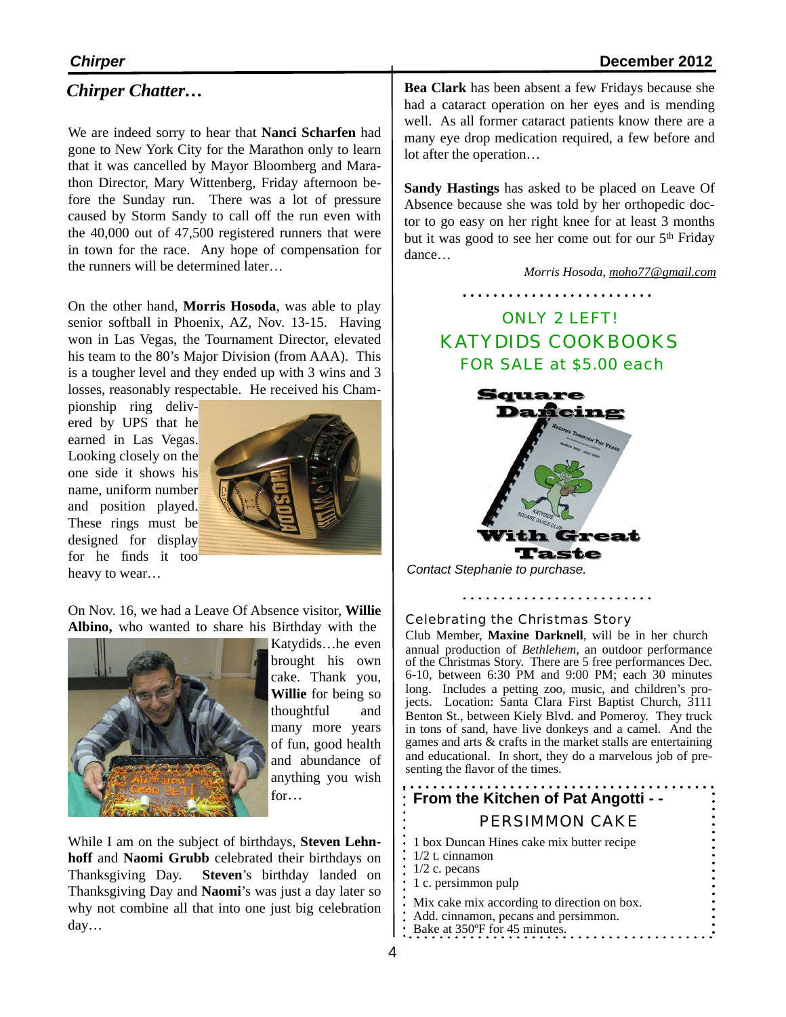### *Chirper Chatter…*

We are indeed sorry to hear that **Nanci Scharfen** had gone to New York City for the Marathon only to learn that it was cancelled by Mayor Bloomberg and Marathon Director, Mary Wittenberg, Friday afternoon before the Sunday run. There was a lot of pressure caused by Storm Sandy to call off the run even with the 40,000 out of 47,500 registered runners that were in town for the race. Any hope of compensation for the runners will be determined later

On the other hand, **Morris Hosoda**, was able to play senior softball in Phoenix, AZ, Nov. 13-15. Having won in Las Vegas, the Tournament Director, elevated his team to the 80's Major Division (from AAA). This is a tougher level and they ended up with 3 wins and 3 losses, reasonably respectable. He received his Cham-

pionship ring delivered by UPS that he earned in Las Vegas. Looking closely on the one side it shows his name, uniform number and position played. These rings must be designed for display for he finds it too heavy to wear…



On Nov. 16, we had a Leave Of Absence visitor, **Willie Albino,** who wanted to share his Birthday with the



Katydids…he even brought his own cake. Thank you, **Willie** for being so thoughtful and many more years of fun, good health and abundance of anything you wish for…

While I am on the subject of birthdays, **Steven Lehnhoff** and **Naomi Grubb** celebrated their birthdays on Thanksgiving Day. **Steven**'s birthday landed on Thanksgiving Day and **Naomi**'s was just a day later so why not combine all that into one just big celebration day…

**Bea Clark** has been absent a few Fridays because she had a cataract operation on her eyes and is mending well. As all former cataract patients know there are a many eye drop medication required, a few before and lot after the operation…

**Sandy Hastings** has asked to be placed on Leave Of Absence because she was told by her orthopedic doctor to go easy on her right knee for at least 3 months but it was good to see her come out for our 5th Friday dance…

*Morris Hosoda, [moho77@gmail.com](mailto:moho77@gmail.com)*





Taste

*Contact Stephanie to purchase.*

Celebrating the Christmas Story

Club Member, **Maxine Darknell**, will be in her church annual production of *Bethlehem*, an outdoor performance of the Christmas Story. There are 5 free performances Dec. 6-10, between 6:30 PM and 9:00 PM; each 30 minutes long. Includes a petting zoo, music, and children's pro- jects. Location: Santa Clara First Baptist Church, 3111 Benton St., between Kiely Blvd. and Pomeroy. They truck in tons of sand, have live donkeys and a camel. And the games and arts & crafts in the market stalls are entertaining and educational. In short, they do a marvelous job of pre- senting the flavor of the times.

#### **From the Kitchen of Pat Angotti - -** PERSIMMON CAKE 1 box Duncan Hines cake mix butter recipe 1/2 t. cinnamon 1/2 c. pecans 1 c. persimmon pulp Mix cake mix according to direction on box. Add. cinnamon, pecans and persimmon.  $\therefore$  Bake at 350°F for 45 minutes.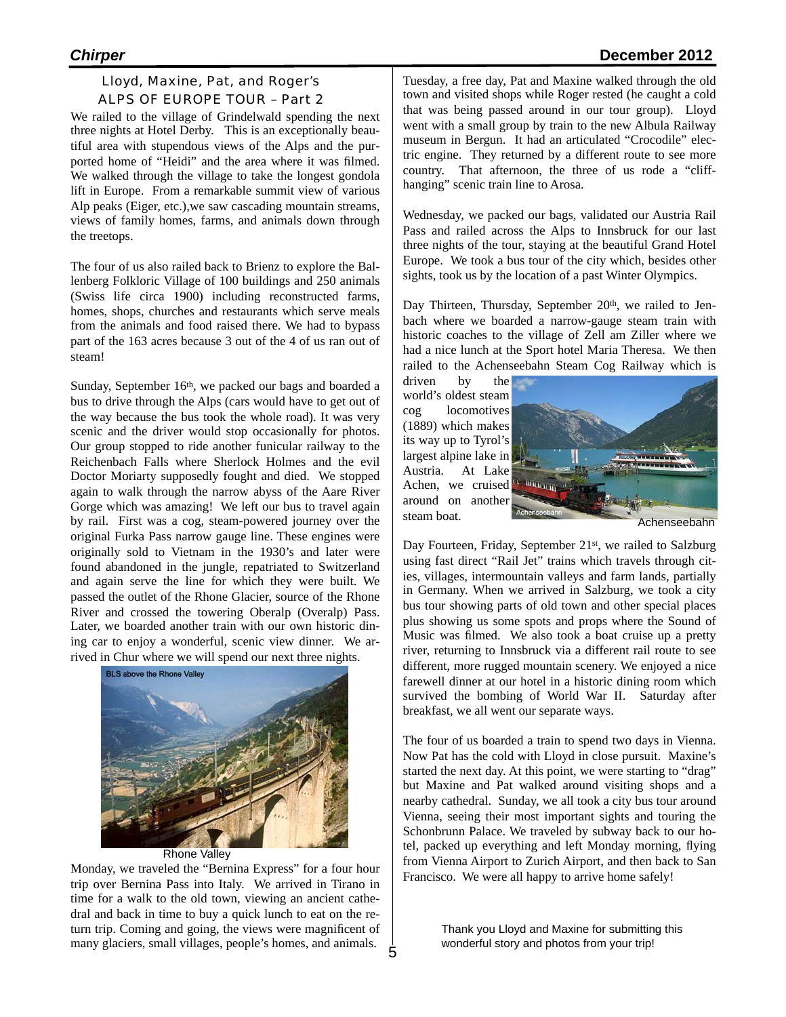#### Lloyd, Maxine, Pat, and Roger's ALPS OF EUROPE TOUR – Part 2

We railed to the village of Grindelwald spending the next three nights at Hotel Derby. This is an exceptionally beautiful area with stupendous views of the Alps and the purported home of "Heidi" and the area where it was filmed. We walked through the village to take the longest gondola lift in Europe. From a remarkable summit view of various Alp peaks (Eiger, etc.),we saw cascading mountain streams, views of family homes, farms, and animals down through the treetops.

The four of us also railed back to Brienz to explore the Ballenberg Folkloric Village of 100 buildings and 250 animals (Swiss life circa 1900) including reconstructed farms, homes, shops, churches and restaurants which serve meals from the animals and food raised there. We had to bypass part of the 163 acres because 3 out of the 4 of us ran out of steam!

Sunday, September 16<sup>th</sup>, we packed our bags and boarded a bus to drive through the Alps (cars would have to get out of the way because the bus took the whole road). It was very scenic and the driver would stop occasionally for photos. Our group stopped to ride another funicular railway to the Reichenbach Falls where Sherlock Holmes and the evil Doctor Moriarty supposedly fought and died. We stopped again to walk through the narrow abyss of the Aare River Gorge which was amazing! We left our bus to travel again by rail. First was a cog, steam-powered journey over the original Furka Pass narrow gauge line. These engines were originally sold to Vietnam in the 1930's and later were found abandoned in the jungle, repatriated to Switzerland and again serve the line for which they were built. We passed the outlet of the Rhone Glacier, source of the Rhone River and crossed the towering Oberalp (Overalp) Pass. Later, we boarded another train with our own historic dining car to enjoy a wonderful, scenic view dinner. We arrived in Chur where we will spend our next three nights.



Monday, we traveled the "Bernina Express" for a four hour trip over Bernina Pass into Italy. We arrived in Tirano in time for a walk to the old town, viewing an ancient cathedral and back in time to buy a quick lunch to eat on the return trip. Coming and going, the views were magnificent of many glaciers, small villages, people's homes, and animals.

Tuesday, a free day, Pat and Maxine walked through the old town and visited shops while Roger rested (he caught a cold that was being passed around in our tour group). Lloyd went with a small group by train to the new Albula Railway museum in Bergun. It had an articulated "Crocodile" electric engine. They returned by a different route to see more country. That afternoon, the three of us rode a "cliffhanging" scenic train line to Arosa.

Wednesday, we packed our bags, validated our Austria Rail Pass and railed across the Alps to Innsbruck for our last three nights of the tour, staying at the beautiful Grand Hotel Europe. We took a bus tour of the city which, besides other sights, took us by the location of a past Winter Olympics.

Day Thirteen, Thursday, September 20<sup>th</sup>, we railed to Jenbach where we boarded a narrow-gauge steam train with historic coaches to the village of Zell am Ziller where we had a nice lunch at the Sport hotel Maria Theresa. We then railed to the Achenseebahn Steam Cog Railway which is

driven by the world's oldest steam cog locomotives (1889) which makes its way up to Tyrol's largest alpine lake in Austria. At Lake Achen, we cruised around on another steam boat.



Achenseebahn

Day Fourteen, Friday, September 21<sup>st</sup>, we railed to Salzburg using fast direct "Rail Jet" trains which travels through cities, villages, intermountain valleys and farm lands, partially in Germany. When we arrived in Salzburg, we took a city bus tour showing parts of old town and other special places plus showing us some spots and props where the Sound of Music was filmed. We also took a boat cruise up a pretty river, returning to Innsbruck via a different rail route to see different, more rugged mountain scenery. We enjoyed a nice farewell dinner at our hotel in a historic dining room which survived the bombing of World War II. Saturday after breakfast, we all went our separate ways.

The four of us boarded a train to spend two days in Vienna. Now Pat has the cold with Lloyd in close pursuit. Maxine's started the next day. At this point, we were starting to "drag" but Maxine and Pat walked around visiting shops and a nearby cathedral. Sunday, we all took a city bus tour around Vienna, seeing their most important sights and touring the Schonbrunn Palace. We traveled by subway back to our hotel, packed up everything and left Monday morning, flying from Vienna Airport to Zurich Airport, and then back to San Francisco. We were all happy to arrive home safely!

> Thank you Lloyd and Maxine for submitting this wonderful story and photos from your trip!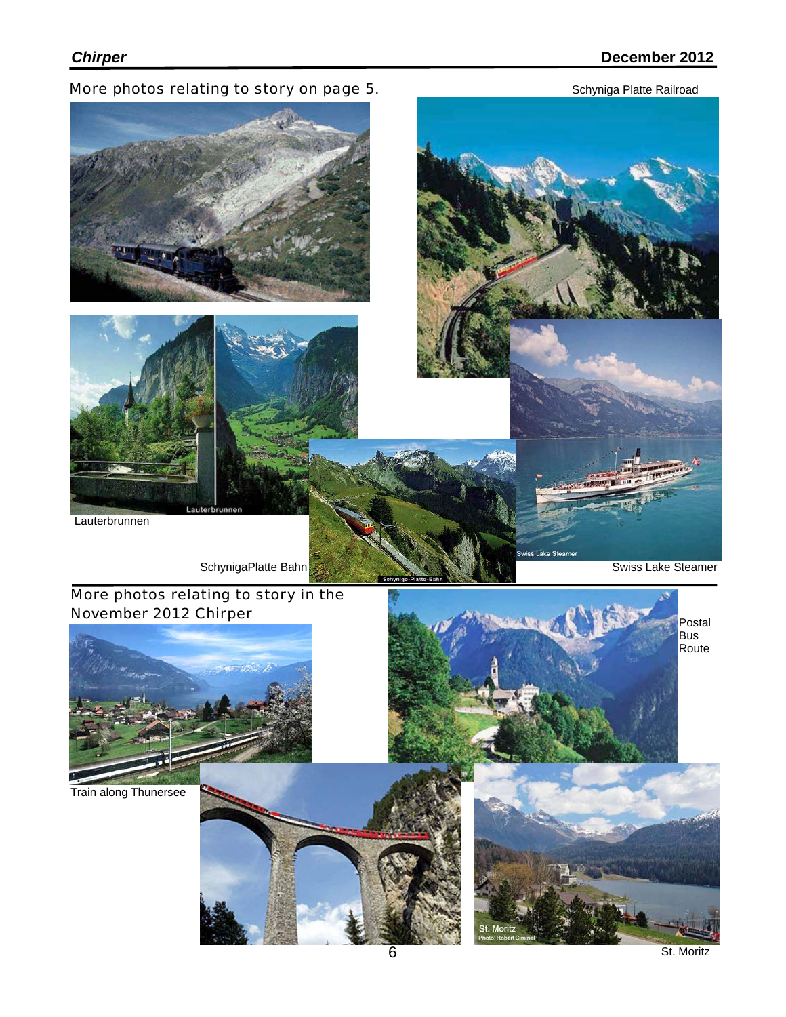More photos relating to story on page 5. Schyniga Platte Railroad





ike Sti

Postal Bus Route











More photos relating to story in the November 2012 Chirper



Train along Thunersee

Swiss Lake Steamer

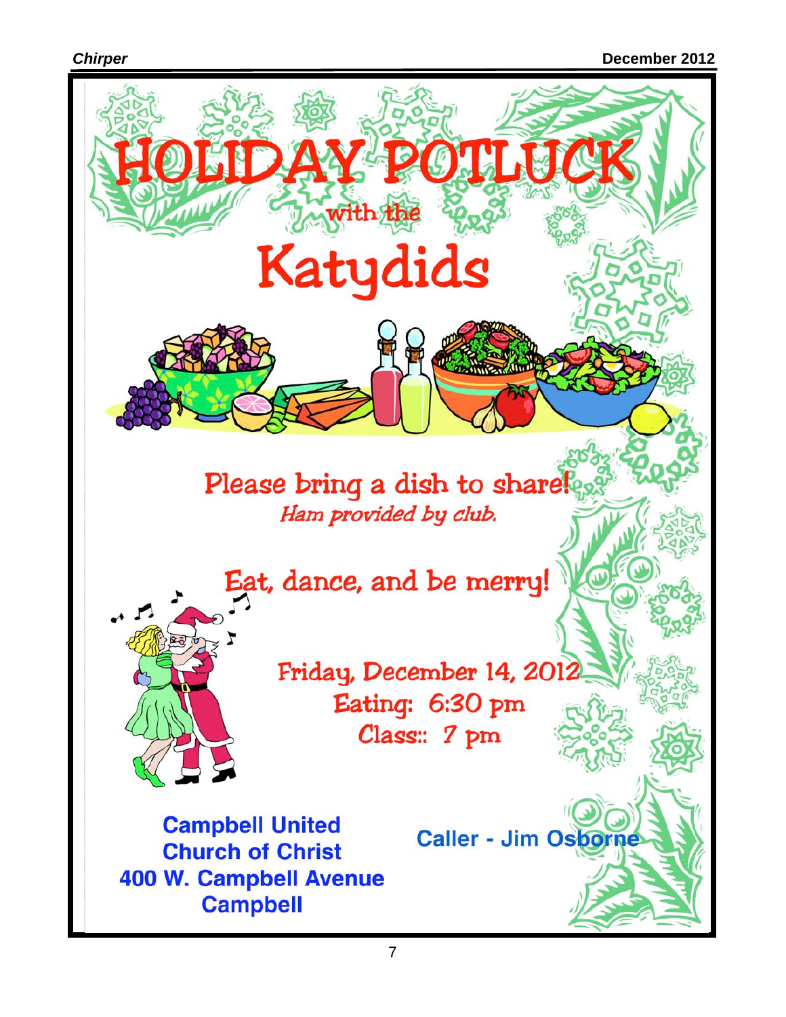